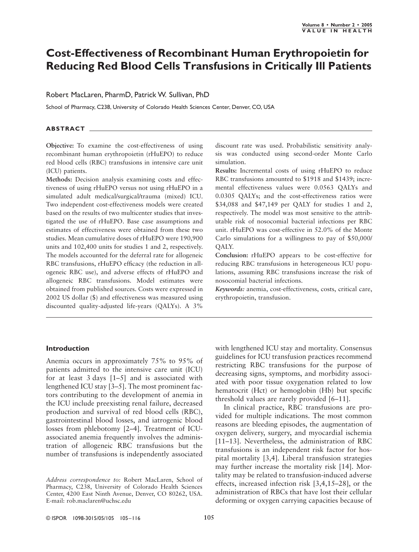# **Cost-Effectiveness of Recombinant Human Erythropoietin for Reducing Red Blood Cells Transfusions in Critically Ill Patients**

# Robert MacLaren, PharmD, Patrick W. Sullivan, PhD

School of Pharmacy, C238, University of Colorado Health Sciences Center, Denver, CO, USA

# **ABSTRACT**

**Objective:** To examine the cost-effectiveness of using recombinant human erythropoietin (rHuEPO) to reduce red blood cells (RBC) transfusions in intensive care unit (ICU) patients.

**Methods:** Decision analysis examining costs and effectiveness of using rHuEPO versus not using rHuEPO in a simulated adult medical/surgical/trauma (mixed) ICU. Two independent cost-effectiveness models were created based on the results of two multicenter studies that investigated the use of rHuEPO. Base case assumptions and estimates of effectiveness were obtained from these two studies. Mean cumulative doses of rHuEPO were 190,900 units and 102,400 units for studies 1 and 2, respectively. The models accounted for the deferral rate for allogeneic RBC transfusions, rHuEPO efficacy (the reduction in allogeneic RBC use), and adverse effects of rHuEPO and allogeneic RBC transfusions. Model estimates were obtained from published sources. Costs were expressed in 2002 US dollar (\$) and effectiveness was measured using discounted quality-adjusted life-years (QALYs). A 3%

discount rate was used. Probabilistic sensitivity analysis was conducted using second-order Monte Carlo simulation.

**Results:** Incremental costs of using rHuEPO to reduce RBC transfusions amounted to \$1918 and \$1439; incremental effectiveness values were 0.0563 QALYs and 0.0305 QALYs; and the cost-effectiveness ratios were \$34,088 and \$47,149 per QALY for studies 1 and 2, respectively. The model was most sensitive to the attributable risk of nosocomial bacterial infections per RBC unit. rHuEPO was cost-effective in 52.0% of the Monte Carlo simulations for a willingness to pay of \$50,000/ QALY.

**Conclusion:** rHuEPO appears to be cost-effective for reducing RBC transfusions in heterogeneous ICU populations, assuming RBC transfusions increase the risk of nosocomial bacterial infections.

*Keywords:* anemia, cost-effectiveness, costs, critical care, erythropoietin, transfusion.

# **Introduction**

Anemia occurs in approximately 75% to 95% of patients admitted to the intensive care unit (ICU) for at least 3 days [1–5] and is associated with lengthened ICU stay [3–5]. The most prominent factors contributing to the development of anemia in the ICU include preexisting renal failure, decreased production and survival of red blood cells (RBC), gastrointestinal blood losses, and iatrogenic blood losses from phlebotomy [2–4]. Treatment of ICUassociated anemia frequently involves the administration of allogeneic RBC transfusions but the number of transfusions is independently associated with lengthened ICU stay and mortality. Consensus guidelines for ICU transfusion practices recommend restricting RBC transfusions for the purpose of decreasing signs, symptoms, and morbidity associated with poor tissue oxygenation related to low hematocrit (Hct) or hemoglobin (Hb) but specific threshold values are rarely provided [6–11].

In clinical practice, RBC transfusions are provided for multiple indications. The most common reasons are bleeding episodes, the augmentation of oxygen delivery, surgery, and myocardial ischemia [11–13]. Nevertheless, the administration of RBC transfusions is an independent risk factor for hospital mortality [3,4]. Liberal transfusion strategies may further increase the mortality risk [14]. Mortality may be related to transfusion-induced adverse effects, increased infection risk [3,4,15–28], or the administration of RBCs that have lost their cellular deforming or oxygen carrying capacities because of

*Address correspondence to:* Robert MacLaren, School of Pharmacy, C238, University of Colorado Health Sciences Center, 4200 East Ninth Avenue, Denver, CO 80262, USA. E-mail: rob.maclaren@uchsc.edu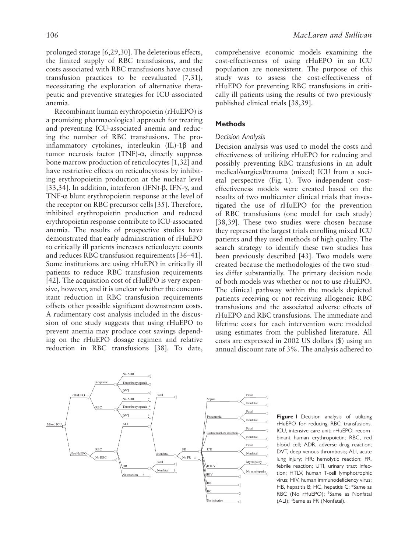prolonged storage [6,29,30]. The deleterious effects, the limited supply of RBC transfusions, and the costs associated with RBC transfusions have caused transfusion practices to be reevaluated [7,31], necessitating the exploration of alternative therapeutic and preventive strategies for ICU-associated anemia.

Recombinant human erythropoietin (rHuEPO) is a promising pharmacological approach for treating and preventing ICU-associated anemia and reducing the number of RBC transfusions. The proinflammatory cytokines, interleukin  $(IL)-1\beta$  and tumor necrosis factor (TNF)- $\alpha$ , directly suppress bone marrow production of reticulocytes [1,32] and have restrictive effects on reticulocytosis by inhibiting erythropoietin production at the nuclear level [33,34]. In addition, interferon (IFN)- $\beta$ , IFN- $\gamma$ , and TNF- $\alpha$  blunt erythropoietin response at the level of the receptor on RBC precursor cells [35]. Therefore, inhibited erythropoietin production and reduced erythropoietin response contribute to ICU-associated anemia. The results of prospective studies have demonstrated that early administration of rHuEPO to critically ill patients increases reticulocyte counts and reduces RBC transfusion requirements [36–41]. Some institutions are using rHuEPO in critically ill patients to reduce RBC transfusion requirements [42]. The acquisition cost of rHuEPO is very expensive, however, and it is unclear whether the concomitant reduction in RBC transfusion requirements offsets other possible significant downstream costs. A rudimentary cost analysis included in the discussion of one study suggests that using rHuEPO to prevent anemia may produce cost savings depending on the rHuEPO dosage regimen and relative reduction in RBC transfusions [38]. To date,

comprehensive economic models examining the cost-effectiveness of using rHuEPO in an ICU population are nonexistent. The purpose of this study was to assess the cost-effectiveness of rHuEPO for preventing RBC transfusions in critically ill patients using the results of two previously published clinical trials [38,39].

# **Methods**

# *Decision Analysis*

Decision analysis was used to model the costs and effectiveness of utilizing rHuEPO for reducing and possibly preventing RBC transfusions in an adult medical/surgical/trauma (mixed) ICU from a societal perspective (Fig. 1). Two independent costeffectiveness models were created based on the results of two multicenter clinical trials that investigated the use of rHuEPO for the prevention of RBC transfusions (one model for each study) [38,39]. These two studies were chosen because they represent the largest trials enrolling mixed ICU patients and they used methods of high quality. The search strategy to identify these two studies has been previously described [43]. Two models were created because the methodologies of the two studies differ substantially. The primary decision node of both models was whether or not to use rHuEPO. The clinical pathway within the models depicted patients receiving or not receiving allogeneic RBC transfusions and the associated adverse effects of rHuEPO and RBC transfusions. The immediate and lifetime costs for each intervention were modeled using estimates from the published literature. All costs are expressed in 2002 US dollars (\$) using an annual discount rate of 3%. The analysis adhered to



**Figure I** Decision analysis of utilizing rHuEPO for reducing RBC transfusions. ICU, intensive care unit; rHuEPO, recombinant human erythropoietin; RBC, red blood cell; ADR, adverse drug reaction; DVT, deep venous thrombosis; ALI, acute lung injury; HR; hemolytic reaction; FR, febrile reaction; UTI, urinary tract infection; HTLV, human T-cell lymphotrophic virus; HIV, human immunodeficiency virus; HB, hepatitis B; HC, hepatitis C; \*Same as RBC (No rHuEPO); † Same as Nonfatal (ALI); ‡ Same as FR (Nonfatal).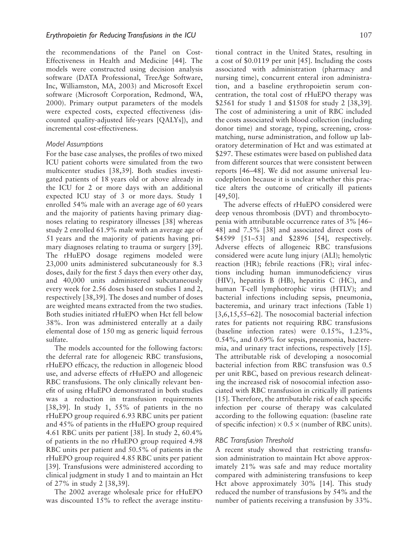the recommendations of the Panel on Cost-Effectiveness in Health and Medicine [44]. The models were constructed using decision analysis software (DATA Professional, TreeAge Software, Inc, Williamston, MA, 2003) and Microsoft Excel software (Microsoft Corporation, Redmond, WA, 2000). Primary output parameters of the models were expected costs, expected effectiveness (discounted quality-adjusted life-years [QALYs]), and incremental cost-effectiveness.

## *Model Assumptions*

For the base case analyses, the profiles of two mixed ICU patient cohorts were simulated from the two multicenter studies [38,39]. Both studies investigated patients of 18 years old or above already in the ICU for 2 or more days with an additional expected ICU stay of 3 or more days. Study 1 enrolled 54% male with an average age of 60 years and the majority of patients having primary diagnoses relating to respiratory illnesses [38] whereas study 2 enrolled 61.9% male with an average age of 51 years and the majority of patients having primary diagnoses relating to trauma or surgery [39]. The rHuEPO dosage regimens modeled were 23,000 units administered subcutaneously for 8.3 doses, daily for the first 5 days then every other day, and 40,000 units administered subcutaneously every week for 2.56 doses based on studies 1 and 2, respectively [38,39]. The doses and number of doses are weighted means extracted from the two studies. Both studies initiated rHuEPO when Hct fell below 38%. Iron was administered enterally at a daily elemental dose of 150 mg as generic liquid ferrous sulfate.

The models accounted for the following factors: the deferral rate for allogeneic RBC transfusions, rHuEPO efficacy, the reduction in allogeneic blood use, and adverse effects of rHuEPO and allogeneic RBC transfusions. The only clinically relevant benefit of using rHuEPO demonstrated in both studies was a reduction in transfusion requirements [38,39]. In study 1, 55% of patients in the no rHuEPO group required 6.93 RBC units per patient and 45% of patients in the rHuEPO group required 4.61 RBC units per patient [38]. In study 2, 60.4% of patients in the no rHuEPO group required 4.98 RBC units per patient and 50.5% of patients in the rHuEPO group required 4.85 RBC units per patient [39]. Transfusions were administered according to clinical judgment in study 1 and to maintain an Hct of 27% in study 2 [38,39].

The 2002 average wholesale price for rHuEPO was discounted 15% to reflect the average institutional contract in the United States, resulting in a cost of \$0.0119 per unit [45]. Including the costs associated with administration (pharmacy and nursing time), concurrent enteral iron administration, and a baseline erythropoietin serum concentration, the total cost of rHuEPO therapy was \$2561 for study 1 and \$1508 for study 2 [38,39]. The cost of administering a unit of RBC included the costs associated with blood collection (including donor time) and storage, typing, screening, crossmatching, nurse administration, and follow up laboratory determination of Hct and was estimated at \$297. These estimates were based on published data from different sources that were consistent between reports [46–48]. We did not assume universal leucodepletion because it is unclear whether this practice alters the outcome of critically ill patients [49,50].

The adverse effects of rHuEPO considered were deep venous thrombosis (DVT) and thrombocytopenia with attributable occurrence rates of 3% [46– 48] and 7.5% [38] and associated direct costs of \$4599 [51-53] and \$2896 [54], respectively. Adverse effects of allogeneic RBC transfusions considered were acute lung injury (ALI); hemolytic reaction (HR); febrile reactions (FR); viral infections including human immunodeficiency virus (HIV), hepatitis B (HB), hepatitis C (HC), and human T-cell lymphotrophic virus (HTLV); and bacterial infections including sepsis, pneumonia, bacteremia, and urinary tract infections (Table 1) [3,6,15,55–62]. The nosocomial bacterial infection rates for patients not requiring RBC transfusions (baseline infection rates) were 0.15%, 1.23%, 0.54%, and 0.69% for sepsis, pneumonia, bacteremia, and urinary tract infections, respectively [15]. The attributable risk of developing a nosocomial bacterial infection from RBC transfusion was 0.5 per unit RBC, based on previous research delineating the increased risk of nosocomial infection associated with RBC transfusion in critically ill patients [15]. Therefore, the attributable risk of each specific infection per course of therapy was calculated according to the following equation: (baseline rate of specific infection)  $\times$  0.5  $\times$  (number of RBC units).

#### *RBC Transfusion Threshold*

A recent study showed that restricting transfusion administration to maintain Hct above approximately 21% was safe and may reduce mortality compared with administering transfusions to keep Hct above approximately 30% [14]. This study reduced the number of transfusions by 54% and the number of patients receiving a transfusion by 33%.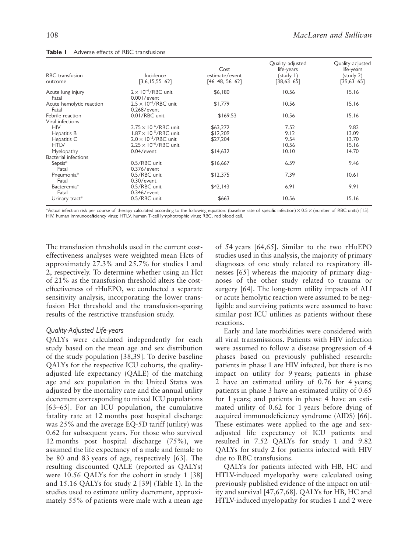| <b>RBC</b> transfusion<br>outcome | Incidence<br>$[3,6,15,55-62]$   | Cost<br>estimate/event<br>$[46 - 48, 56 - 62]$ | Quality-adjusted<br>life-years<br>(stat)<br>$[38,63-65]$ | Quality-adjusted<br>life-years<br>(study 2)<br>$[39,63-65]$ |
|-----------------------------------|---------------------------------|------------------------------------------------|----------------------------------------------------------|-------------------------------------------------------------|
| Acute lung injury                 | $2 \times 10^{-4}$ /RBC unit    | \$6,180                                        | 10.56                                                    | 15.16                                                       |
| Fatal                             | $0.001$ /event                  |                                                |                                                          |                                                             |
| Acute hemolytic reaction          | $2.5 \times 10^{-6}$ /RBC unit  | \$1,779                                        | 10.56                                                    | 15.16                                                       |
| Fatal                             | $0.268$ /event                  |                                                |                                                          |                                                             |
| Febrile reaction                  | 0.01/RBC unit                   | \$169.53                                       | 10.56                                                    | 15.16                                                       |
| Viral infections                  |                                 |                                                |                                                          |                                                             |
| <b>HIV</b>                        | $2.75 \times 10^{-6}$ /RBC unit | \$63,272                                       | 7.52                                                     | 9.82                                                        |
| Hepatitis B                       | $1.87 \times 10^{-5}$ /RBC unit | \$12,209                                       | 9.12                                                     | 13.09                                                       |
| Hepatitis C                       | $2.0 \times 10^{-5}$ /RBC unit  | \$27,204                                       | 9.54                                                     | 13.70                                                       |
| <b>HTLV</b>                       | $2.25 \times 10^{-6}$ /RBC unit |                                                | 10.56                                                    | 15.16                                                       |
| Myelopathy                        | $0.04$ /event                   | \$14,632                                       | 10.10                                                    | 14.70                                                       |
| <b>Bacterial infections</b>       |                                 |                                                |                                                          |                                                             |
| Sepsis*                           | 0.5/RBC unit                    | \$16,667                                       | 6.59                                                     | 9.46                                                        |
| Fatal                             | $0.376$ /event                  |                                                |                                                          |                                                             |
| Pneumonia*                        | 0.5/RBC unit                    | \$12,375                                       | 7.39                                                     | 10.61                                                       |
| Fatal                             | $0.30$ /event                   |                                                |                                                          |                                                             |
| Bacteremia*                       | 0.5/RBC unit                    | \$42,143                                       | 6.91                                                     | 9.91                                                        |
| Fatal                             | $0.346$ /event                  |                                                |                                                          |                                                             |
| Urinary tract*                    | 0.5/RBC unit                    | \$663                                          | 10.56                                                    | 15.16                                                       |

#### **Table 1** Adverse effects of RBC transfusions

\*Actual infection risk per course of therapy calculated according to the following equation: (baseline rate of specific infection) × 0.5 × (number of RBC units) [15].<br>HIV, human immunodeficiency virus; HTLV, human T-cell l

The transfusion thresholds used in the current costeffectiveness analyses were weighted mean Hcts of approximately 27.3% and 25.7% for studies 1 and 2, respectively. To determine whether using an Hct of 21% as the transfusion threshold alters the costeffectiveness of rHuEPO, we conducted a separate sensitivity analysis, incorporating the lower transfusion Hct threshold and the transfusion-sparing results of the restrictive transfusion study.

#### *Quality-Adjusted Life-years*

QALYs were calculated independently for each study based on the mean age and sex distribution of the study population [38,39]. To derive baseline QALYs for the respective ICU cohorts, the qualityadjusted life expectancy (QALE) of the matching age and sex population in the United States was adjusted by the mortality rate and the annual utility decrement corresponding to mixed ICU populations [63–65]. For an ICU population, the cumulative fatality rate at 12 months post hospital discharge was 25% and the average EQ-5D tariff (utility) was 0.62 for subsequent years. For those who survived 12 months post hospital discharge (75%), we assumed the life expectancy of a male and female to be 80 and 83 years of age, respectively [63]. The resulting discounted QALE (reported as QALYs) were 10.56 QALYs for the cohort in study 1 [38] and 15.16 QALYs for study 2 [39] (Table 1). In the studies used to estimate utility decrement, approximately 55% of patients were male with a mean age of 54 years [64,65]. Similar to the two rHuEPO studies used in this analysis, the majority of primary diagnoses of one study related to respiratory illnesses [65] whereas the majority of primary diagnoses of the other study related to trauma or surgery [64]. The long-term utility impacts of ALI or acute hemolytic reaction were assumed to be negligible and surviving patients were assumed to have similar post ICU utilities as patients without these reactions.

Early and late morbidities were considered with all viral transmissions. Patients with HIV infection were assumed to follow a disease progression of 4 phases based on previously published research: patients in phase 1 are HIV infected, but there is no impact on utility for 9 years; patients in phase 2 have an estimated utility of 0.76 for 4 years; patients in phase 3 have an estimated utility of 0.65 for 1 years; and patients in phase 4 have an estimated utility of 0.62 for 1 years before dying of acquired immunodeficiency syndrome (AIDS) [66]. These estimates were applied to the age and sexadjusted life expectancy of ICU patients and resulted in 7.52 QALYs for study 1 and 9.82 QALYs for study 2 for patients infected with HIV due to RBC transfusions.

QALYs for patients infected with HB, HC and HTLV-induced myelopathy were calculated using previously published evidence of the impact on utility and survival [47,67,68]. QALYs for HB, HC and HTLV-induced myelopathy for studies 1 and 2 were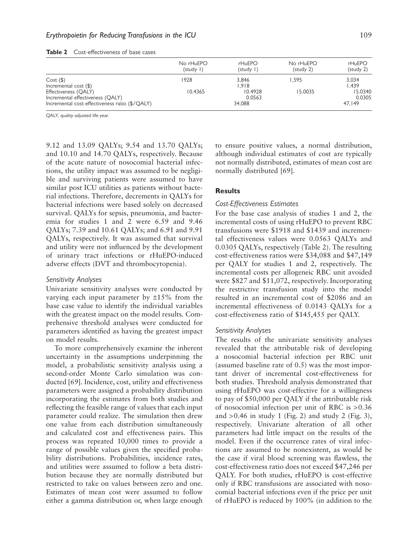|                                                                                                            | No rHuEPO<br>(staty) | rHuEPO<br>(stat)            | No rHuEPO<br>(staty 2) | rHuEPO<br>(study 2)         |
|------------------------------------------------------------------------------------------------------------|----------------------|-----------------------------|------------------------|-----------------------------|
| $Cost($ \$)<br>Incremental cost $(\$)$                                                                     | 1928                 | 3.846<br>1.918              | I.595                  | 3.034<br>1.439              |
| Effectiveness (QALY)<br>Incremental effectiveness (QALY)<br>Incremental cost-effectiveness ratio (\$/QALY) | 10.4365              | 10.4928<br>0.0563<br>34.088 | 15.0035                | 15.0340<br>0.0305<br>47.149 |

| <b>Table 2</b> Cost-effectiveness of base cases |
|-------------------------------------------------|
|                                                 |

QALY, quality-adjusted life-year.

9.12 and 13.09 QALYs; 9.54 and 13.70 QALYs; and 10.10 and 14.70 QALYs, respectively. Because of the acute nature of nosocomial bacterial infections, the utility impact was assumed to be negligible and surviving patients were assumed to have similar post ICU utilities as patients without bacterial infections. Therefore, decrements in QALYs for bacterial infections were based solely on decreased survival. QALYs for sepsis, pneumonia, and bacteremia for studies 1 and 2 were 6.59 and 9.46 QALYs; 7.39 and 10.61 QALYs; and 6.91 and 9.91 QALYs, respectively. It was assumed that survival and utility were not influenced by the development of urinary tract infections or rHuEPO-induced adverse effects (DVT and thrombocytopenia).

#### *Sensitivity Analyses*

Univariate sensitivity analyses were conducted by varying each input parameter by  $\pm 15\%$  from the base case value to identify the individual variables with the greatest impact on the model results. Comprehensive threshold analyses were conducted for parameters identified as having the greatest impact on model results.

To more comprehensively examine the inherent uncertainty in the assumptions underpinning the model, a probabilistic sensitivity analysis using a second-order Monte Carlo simulation was conducted [69]. Incidence, cost, utility and effectiveness parameters were assigned a probability distribution incorporating the estimates from both studies and reflecting the feasible range of values that each input parameter could realize. The simulation then drew one value from each distribution simultaneously and calculated cost and effectiveness pairs. This process was repeated 10,000 times to provide a range of possible values given the specified probability distributions. Probabilities, incidence rates, and utilities were assumed to follow a beta distribution because they are normally distributed but restricted to take on values between zero and one. Estimates of mean cost were assumed to follow either a gamma distribution or, when large enough to ensure positive values, a normal distribution, although individual estimates of cost are typically not normally distributed, estimates of mean cost are normally distributed [69].

# **Results**

#### *Cost-Effectiveness Estimates*

For the base case analysis of studies 1 and 2, the incremental costs of using rHuEPO to prevent RBC transfusions were \$1918 and \$1439 and incremental effectiveness values were 0.0563 QALYs and 0.0305 QALYs, respectively (Table 2). The resulting cost-effectiveness ratios were \$34,088 and \$47,149 per QALY for studies 1 and 2, respectively. The incremental costs per allogeneic RBC unit avoided were \$827 and \$11,072, respectively. Incorporating the restrictive transfusion study into the model resulted in an incremental cost of \$2086 and an incremental effectiveness of 0.0143 QALYs for a cost-effectiveness ratio of \$145,455 per QALY.

#### *Sensitivity Analyses*

The results of the univariate sensitivity analyses revealed that the attributable risk of developing a nosocomial bacterial infection per RBC unit (assumed baseline rate of 0.5) was the most important driver of incremental cost-effectiveness for both studies. Threshold analysis demonstrated that using rHuEPO was cost-effective for a willingness to pay of \$50,000 per QALY if the attributable risk of nosocomial infection per unit of RBC is >0.36 and  $>0.46$  in study 1 (Fig. 2) and study 2 (Fig. 3), respectively. Univariate alteration of all other parameters had little impact on the results of the model. Even if the occurrence rates of viral infections are assumed to be nonexistent, as would be the case if viral blood screening was flawless, the cost-effectiveness ratio does not exceed \$47,246 per QALY. For both studies, rHuEPO is cost-effective only if RBC transfusions are associated with nosocomial bacterial infections even if the price per unit of rHuEPO is reduced by 100% (in addition to the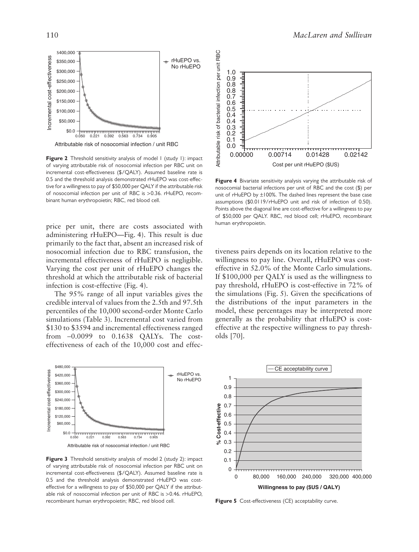

**Figure 2** Threshold sensitivity analysis of model 1 (study 1): impact of varying attributable risk of nosocomial infection per RBC unit on incremental cost-effectiveness (\$/QALY). Assumed baseline rate is 0.5 and the threshold analysis demonstrated rHuEPO was cost-effective for a willingness to pay of \$50,000 per QALY if the attributable risk of nosocomial infection per unit of RBC is >0.36. rHuEPO, recombinant human erythropoietin; RBC, red blood cell.

price per unit, there are costs associated with administering rHuEPO—Fig. 4). This result is due primarily to the fact that, absent an increased risk of nosocomial infection due to RBC transfusion, the incremental effectiveness of rHuEPO is negligible. Varying the cost per unit of rHuEPO changes the threshold at which the attributable risk of bacterial infection is cost-effective (Fig. 4).

The 95% range of all input variables gives the credible interval of values from the 2.5th and 97.5th percentiles of the 10,000 second-order Monte Carlo simulations (Table 3). Incremental cost varied from \$130 to \$3594 and incremental effectiveness ranged from -0.0099 to 0.1638 QALYs. The costeffectiveness of each of the 10,000 cost and effec-



Attributable risk of nosocomial infection / unit RBC

**Figure 3** Threshold sensitivity analysis of model 2 (study 2): impact of varying attributable risk of nosocomial infection per RBC unit on incremental cost-effectiveness (\$/QALY). Assumed baseline rate is 0.5 and the threshold analysis demonstrated rHuEPO was costeffective for a willingness to pay of \$50,000 per QALY if the attributable risk of nosocomial infection per unit of RBC is >0.46. rHuEPO, recombinant human erythropoietin; RBC, red blood cell.



**Figure 4** Bivariate sensitivity analysis varying the attributable risk of nosocomial bacterial infections per unit of RBC and the cost (\$) per unit of rHuEPO by ±100%. The dashed lines represent the base case assumptions (\$0.0119/rHuEPO unit and risk of infection of 0.50). Points above the diagonal line are cost-effective for a willingness to pay of \$50,000 per QALY. RBC, red blood cell; rHuEPO, recombinant human erythropoietin.

tiveness pairs depends on its location relative to the willingness to pay line. Overall, rHuEPO was costeffective in 52.0% of the Monte Carlo simulations. If \$100,000 per QALY is used as the willingness to pay threshold, rHuEPO is cost-effective in 72% of the simulations (Fig. 5). Given the specifications of the distributions of the input parameters in the model, these percentages may be interpreted more generally as the probability that rHuEPO is costeffective at the respective willingness to pay thresholds [70].



**Figure 5** Cost-effectiveness (CE) acceptability curve.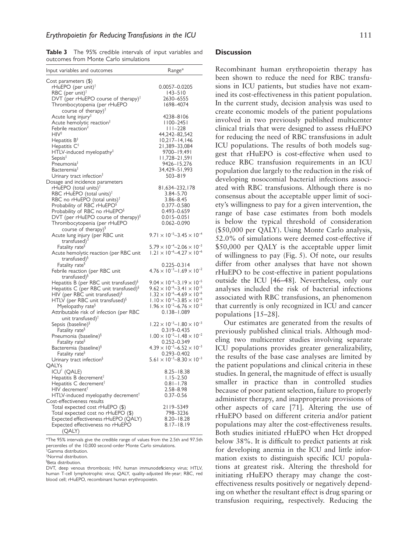**Table 3** The 95% credible intervals of input variables and outcomes from Monte Carlo simulations

| Input variables and outcomes                                                                                                                                                                                                                                                                                                                                                              | Range*                                                                                                                                                                                                                                                     |
|-------------------------------------------------------------------------------------------------------------------------------------------------------------------------------------------------------------------------------------------------------------------------------------------------------------------------------------------------------------------------------------------|------------------------------------------------------------------------------------------------------------------------------------------------------------------------------------------------------------------------------------------------------------|
| Cost parameters $(\$)$<br>rHuEPO (per unit) <sup>†</sup><br>$RBC$ (per unit) <sup>T</sup><br>DVT (per rHuEPO course of therapy) <sup>†</sup><br>Thrombocytopenia (per rHuEPO<br>course of therapy) $\bar{f}$<br>Acute lung injury <sup>+</sup>                                                                                                                                            | 0.0057-0.0205<br>143–510<br>2630-6555<br>1698-4074<br>4238-8106                                                                                                                                                                                            |
| Acute hemolytic reaction <sup>‡</sup><br>Febrile reaction <sup>2</sup><br>HIV <sup>‡</sup><br>Hepatitis $B^{\ddagger}$<br>Hepatitis $C^{\ddagger}$<br>HTLV-induced myelopathy <sup>‡</sup><br>Sepsis <sup>+</sup><br>Pneumonia <sup>#</sup><br>Bacteremia‡<br>Urinary tract infection <sup>‡</sup><br>Dosage and incidence parameters                                                     | $1100 - 2451$<br>$111 - 228$<br>44,242-82,542<br>10,217–14,146<br>21,389-33,084<br>9700–19,491<br>11,728-21,591<br>9426-15,276<br>34,429–51,993<br>503-819                                                                                                 |
| rHuEPO (total units) <sup>T</sup><br>RBC rHuEPO (total units) <sup>†</sup><br>$\mathsf{RBC}$ no rHuEPO (total units) $^\intercal$<br>Probability of RBC rHuEPO <sup>§</sup><br>Probability of RBC no rHuEPO <sup>§</sup><br>$DVT$ (per rHuEPO course of therapy) <sup>§</sup><br>Thrombocytopenia (per rHuEPO<br>course of therapy) <sup>§</sup>                                          | 81,634–232,178<br>3.84–5.70<br>3.86–8.45<br>0.377-0.580<br>0.493-0.659<br>$0.015 - 0.051$<br>0.062-0.090                                                                                                                                                   |
| Acute lung injury (per RBC unit<br>transfused)<br>Fatality rate <sup>§</sup><br>Acute hemolytic reaction (per RBC unit<br>transfused) <sup>§</sup><br>Fatality rate <sup>9</sup><br>Febrile reaction (per RBC unit                                                                                                                                                                        | $9.71 \times 10^{-5} - 3.45 \times 10^{-4}$<br>$5.79 \times 10^{-4} - 2.06 \times 10^{-3}$<br>$1.21 \times 10^{-6} - 4.27 \times 10^{-6}$<br>$0.225 - 0.314$<br>$4.76 \times 10^{-3} - 1.69 \times 10^{-2}$                                                |
| transfused) <sup>§</sup><br>Hepatitis B (per RBC unit transfused) <sup>§</sup><br>Hepatitis C (per RBC unit transfused) <sup>§</sup><br>$HIV$ (per RBC unit transfused) <sup>§</sup><br>HTLV (per RBC unit transfused) <sup>§</sup><br>Myelopathy rate <sup>s</sup><br>Attributable risk of infection (per RBC                                                                            | $9.04 \times 10^{-6} - 3.19 \times 10^{-5}$<br>$9.62 \times 10^{-6} - 3.41 \times 10^{-5}$<br>$1.32 \times 10^{-6} - 4.69 \times 10^{-6}$<br>$1.10 \times 10^{-6} - 3.85 \times 10^{-6}$<br>$1.96 \times 10^{-2} - 6.76 \times 10^{-2}$<br>$0.138 - 1.089$ |
| unit transfused) <sup>†</sup><br>Sepsis (baseline) <sup>§</sup><br>Fatality rate <sup>9</sup><br>Pneumonia (baseline) <sup>§</sup><br>Fatality rate <sup>9</sup><br>Bacteremia (baseline) <sup>§</sup><br>Fatality rate <sup>9</sup><br>Urinary tract infection <sup>§</sup>                                                                                                              | $1.22 \times 10^{-3} - 1.80 \times 10^{-3}$<br>$0.319 - 0.435$<br>$1.00 \times 10^{-2}$ -1.48 $\times 10^{-2}$<br>0.252-0.349<br>$4.39 \times 10^{-3} - 6.52 \times 10^{-3}$<br>$0.293 - 0.402$<br>$5.61 \times 10^{-3} - 8.30 \times 10^{-3}$             |
| QALYs<br>ICU <sup>I</sup> (QALE)<br>Hepatitis B decrement <sup>†</sup><br>Hepatitis C decrement <sup>†</sup><br>HIV decrement <sup>†</sup><br>HTLV-induced myelopathy decrement <sup>†</sup><br>Cost-effectiveness results<br>Total expected cost rHuEPO (\$)<br>Total expected cost no rHuEPO (\$)<br>Expected effectiveness rHuEPO (QALY)<br>Expected effectiveness no rHuEPO<br>(QALY) | $8.25 - 18.38$<br>$1.15 - 2.50$<br>$0.81 - 1.78$<br>2.58-8.98<br>$0.37 - 0.56$<br>2119-5349<br>798-3236<br>$8.20 - 18.28$<br>$8.17 - 18.19$                                                                                                                |

\*The 95% intervals give the credible range of values from the 2.5th and 97.5th percentiles of the 10,000 second-order Monte Carlo simulations. † Gamma distribution.

‡ Normal distribution.

§ Beta distribution.

DVT, deep venous thrombosis; HIV, human immunodeficiency virus; HTLV, human T-cell lymphotrophic virus; QALY, quality-adjusted life-year; RBC, red blood cell; rHuEPO, recombinant human erythropoietin.

### **Discussion**

Recombinant human erythropoietin therapy has been shown to reduce the need for RBC transfusions in ICU patients, but studies have not examined its cost-effectiveness in this patient population. In the current study, decision analysis was used to create economic models of the patient populations involved in two previously published multicenter clinical trials that were designed to assess rHuEPO for reducing the need of RBC transfusions in adult ICU populations. The results of both models suggest that rHuEPO is cost-effective when used to reduce RBC transfusion requirements in an ICU population due largely to the reduction in the risk of developing nosocomial bacterial infections associated with RBC transfusions. Although there is no consensus about the acceptable upper limit of society's willingness to pay for a given intervention, the range of base case estimates from both models is below the typical threshold of consideration (\$50,000 per QALY). Using Monte Carlo analysis, 52.0% of simulations were deemed cost-effective if \$50,000 per QALY is the acceptable upper limit of willingness to pay (Fig. 5). Of note, our results differ from other analyses that have not shown rHuEPO to be cost-effective in patient populations outside the ICU [46–48]. Nevertheless, only our analyses included the risk of bacterial infections associated with RBC transfusions, an phenomenon that currently is only recognized in ICU and cancer populations [15–28].

Our estimates are generated from the results of previously published clinical trials. Although modeling two multicenter studies involving separate ICU populations provides greater generalizability, the results of the base case analyses are limited by the patient populations and clinical criteria in these studies. In general, the magnitude of effect is usually smaller in practice than in controlled studies because of poor patient selection, failure to properly administer therapy, and inappropriate provisions of other aspects of care [71]. Altering the use of rHuEPO based on different criteria and/or patient populations may alter the cost-effectiveness results. Both studies initiated rHuEPO when Hct dropped below 38%. It is difficult to predict patients at risk for developing anemia in the ICU and little information exists to distinguish specific ICU populations at greatest risk. Altering the threshold for initiating rHuEPO therapy may change the costeffectiveness results positively or negatively depending on whether the resultant effect is drug sparing or transfusion requiring, respectively. Reducing the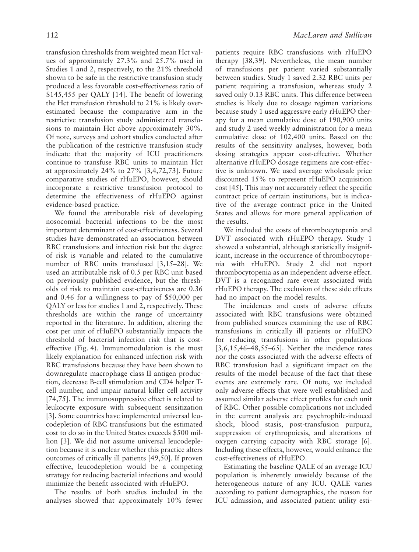transfusion thresholds from weighted mean Hct values of approximately 27.3% and 25.7% used in Studies 1 and 2, respectively, to the 21% threshold shown to be safe in the restrictive transfusion study produced a less favorable cost-effectiveness ratio of \$145,455 per QALY [14]. The benefit of lowering the Hct transfusion threshold to 21% is likely overestimated because the comparative arm in the restrictive transfusion study administered transfusions to maintain Hct above approximately 30%. Of note, surveys and cohort studies conducted after the publication of the restrictive transfusion study indicate that the majority of ICU practitioners continue to transfuse RBC units to maintain Hct at approximately 24% to 27% [3,4,72,73]. Future comparative studies of rHuEPO, however, should incorporate a restrictive transfusion protocol to determine the effectiveness of rHuEPO against evidence-based practice.

We found the attributable risk of developing nosocomial bacterial infections to be the most important determinant of cost-effectiveness. Several studies have demonstrated an association between RBC transfusions and infection risk but the degree of risk is variable and related to the cumulative number of RBC units transfused [3,15–28]. We used an attributable risk of 0.5 per RBC unit based on previously published evidence, but the thresholds of risk to maintain cost-effectiveness are 0.36 and 0.46 for a willingness to pay of \$50,000 per QALY or less for studies 1 and 2, respectively. These thresholds are within the range of uncertainty reported in the literature. In addition, altering the cost per unit of rHuEPO substantially impacts the threshold of bacterial infection risk that is costeffective (Fig. 4). Immunomodulation is the most likely explanation for enhanced infection risk with RBC transfusions because they have been shown to downregulate macrophage class II antigen production, decrease B-cell stimulation and CD4 helper Tcell number, and impair natural killer cell activity [74,75]. The immunosuppressive effect is related to leukocyte exposure with subsequent sensitization [3]. Some countries have implemented universal leucodepletion of RBC transfusions but the estimated cost to do so in the United States exceeds \$500 million [3]. We did not assume universal leucodepletion because it is unclear whether this practice alters outcomes of critically ill patients [49,50]. If proven effective, leucodepletion would be a competing strategy for reducing bacterial infections and would minimize the benefit associated with rHuEPO.

The results of both studies included in the analyses showed that approximately 10% fewer patients require RBC transfusions with rHuEPO therapy [38,39]. Nevertheless, the mean number of transfusions per patient varied substantially between studies. Study 1 saved 2.32 RBC units per patient requiring a transfusion, whereas study 2 saved only 0.13 RBC units. This difference between studies is likely due to dosage regimen variations because study 1 used aggressive early rHuEPO therapy for a mean cumulative dose of 190,900 units and study 2 used weekly administration for a mean cumulative dose of 102,400 units. Based on the results of the sensitivity analyses, however, both dosing strategies appear cost-effective. Whether alternative rHuEPO dosage regimens are cost-effective is unknown. We used average wholesale price discounted 15% to represent rHuEPO acquisition cost [45]. This may not accurately reflect the specific contract price of certain institutions, but is indicative of the average contract price in the United States and allows for more general application of the results.

We included the costs of thrombocytopenia and DVT associated with rHuEPO therapy. Study 1 showed a substantial, although statistically insignificant, increase in the occurrence of thrombocytopenia with rHuEPO. Study 2 did not report thrombocytopenia as an independent adverse effect. DVT is a recognized rare event associated with rHuEPO therapy. The exclusion of these side effects had no impact on the model results.

The incidences and costs of adverse effects associated with RBC transfusions were obtained from published sources examining the use of RBC transfusions in critically ill patients or rHuEPO for reducing transfusions in other populations [3,6,15,46–48,55–65]. Neither the incidence rates nor the costs associated with the adverse effects of RBC transfusion had a significant impact on the results of the model because of the fact that these events are extremely rare. Of note, we included only adverse effects that were well established and assumed similar adverse effect profiles for each unit of RBC. Other possible complications not included in the current analysis are psychrophile-induced shock, blood stasis, post-transfusion purpura, suppression of erythropoiesis, and alterations of oxygen carrying capacity with RBC storage [6]. Including these effects, however, would enhance the cost-effectiveness of rHuEPO.

Estimating the baseline QALE of an average ICU population is inherently unwieldy because of the heterogeneous nature of any ICU. QALE varies according to patient demographics, the reason for ICU admission, and associated patient utility esti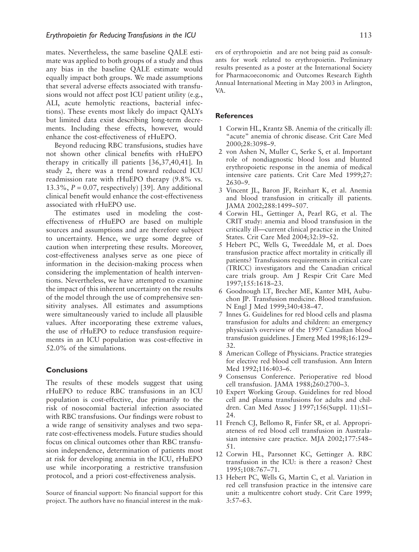mates. Nevertheless, the same baseline QALE estimate was applied to both groups of a study and thus any bias in the baseline QALE estimate would equally impact both groups. We made assumptions that several adverse effects associated with transfusions would not affect post ICU patient utility (e.g., ALI, acute hemolytic reactions, bacterial infections). These events most likely do impact QALYs but limited data exist describing long-term decrements. Including these effects, however, would enhance the cost-effectiveness of rHuEPO.

Beyond reducing RBC transfusions, studies have not shown other clinical benefits with rHuEPO therapy in critically ill patients [36,37,40,41]. In study 2, there was a trend toward reduced ICU readmission rate with rHuEPO therapy (9.8% vs. 13.3%,  $P = 0.07$ , respectively) [39]. Any additional clinical benefit would enhance the cost-effectiveness associated with rHuEPO use.

The estimates used in modeling the costeffectiveness of rHuEPO are based on multiple sources and assumptions and are therefore subject to uncertainty. Hence, we urge some degree of caution when interpreting these results. Moreover, cost-effectiveness analyses serve as one piece of information in the decision-making process when considering the implementation of health interventions. Nevertheless, we have attempted to examine the impact of this inherent uncertainty on the results of the model through the use of comprehensive sensitivity analyses. All estimates and assumptions were simultaneously varied to include all plausible values. After incorporating these extreme values, the use of rHuEPO to reduce transfusion requirements in an ICU population was cost-effective in 52.0% of the simulations.

# **Conclusions**

The results of these models suggest that using rHuEPO to reduce RBC transfusions in an ICU population is cost-effective, due primarily to the risk of nosocomial bacterial infection associated with RBC transfusions. Our findings were robust to a wide range of sensitivity analyses and two separate cost-effectiveness models. Future studies should focus on clinical outcomes other than RBC transfusion independence, determination of patients most at risk for developing anemia in the ICU, rHuEPO use while incorporating a restrictive transfusion protocol, and a priori cost-effectiveness analysis.

Source of financial support: No financial support for this project. The authors have no financial interest in the makers of erythropoietin and are not being paid as consultants for work related to erythropoietin. Preliminary results presented as a poster at the International Society for Pharmacoeconomic and Outcomes Research Eighth Annual International Meeting in May 2003 in Arlington, VA.

## **References**

- 1 Corwin HL, Krantz SB. Anemia of the critically ill: "acute" anemia of chronic disease. Crit Care Med 2000;28:3098–9.
- 2 von Ashen N, Muller C, Serke S, et al. Important role of nondiagnostic blood loss and blunted erythropoietic response in the anemia of medical intensive care patients. Crit Care Med 1999;27: 2630–9.
- 3 Vincent JL, Baron JF, Reinhart K, et al. Anemia and blood transfusion in critically ill patients. JAMA 2002;288:1499–507.
- 4 Corwin HL, Gettinger A, Pearl RG, et al. The CRIT study: anemia and blood transfusion in the critically ill—current clinical practice in the United States. Crit Care Med 2004;32:39–52.
- 5 Hebert PC, Wells G, Tweeddale M, et al. Does transfusion practice affect mortality in critically ill patients? Transfusions requirements in critical care (TRICC) investigators and the Canadian critical care trials group. Am J Respir Crit Care Med 1997;155:1618–23.
- 6 Goodnough LT, Brecher ME, Kanter MH, Aubuchon JP. Transfusion medicine. Blood transfusion. N Engl J Med 1999;340:438–47.
- 7 Innes G. Guidelines for red blood cells and plasma transfusion for adults and children: an emergency physician's overview of the 1997 Canadian blood transfusion guidelines. J Emerg Med 1998;16:129– 32.
- 8 American College of Physicians. Practice strategies for elective red blood cell transfusion. Ann Intern Med 1992;116:403–6.
- 9 Consensus Conference. Perioperative red blood cell transfusion. JAMA 1988;260:2700–3.
- 10 Expert Working Group. Guidelines for red blood cell and plasma transfusions for adults and children. Can Med Assoc J 1997;156(Suppl. 11):S1– 24.
- 11 French CJ, Bellomo R, Finfer SR, et al. Appropriateness of red blood cell transfusion in Australasian intensive care practice. MJA 2002;177:548– 51.
- 12 Corwin HL, Parsonnet KC, Gettinger A. RBC transfusion in the ICU: is there a reason? Chest 1995;108:767–71.
- 13 Hebert PC, Wells G, Martin C, et al. Variation in red cell transfusion practice in the intensive care unit: a multicentre cohort study. Crit Care 1999; 3:57–63.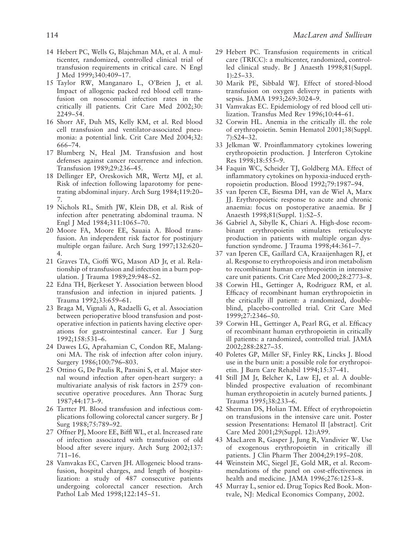- 14 Hebert PC, Wells G, Blajchman MA, et al. A multicenter, randomized, controlled clinical trial of transfusion requirements in critical care. N Engl J Med 1999;340:409–17.
- 15 Taylor RW, Manganaro L, O'Brien J, et al. Impact of allogenic packed red blood cell transfusion on nosocomial infection rates in the critically ill patients. Crit Care Med 2002;30: 2249–54.
- 16 Shorr AF, Duh MS, Kelly KM, et al. Red blood cell transfusion and ventilator-associated pneumonia: a potential link. Crit Care Med 2004;32: 666–74.
- 17 Blumberg N, Heal JM. Transfusion and host defenses against cancer recurrence and infection. Transfusion 1989;29:236–45.
- 18 Dellinger EP, Oreskovich MR, Wertz MJ, et al. Risk of infection following laparotomy for penetrating abdominal injury. Arch Surg 1984;119:20– 7.
- 19 Nichols RL, Smith JW, Klein DB, et al. Risk of infection after penetrating abdominal trauma. N Engl J Med 1984;311:1065–70.
- 20 Moore FA, Moore EE, Sauaia A. Blood transfusion. An independent risk factor for postinjury multiple organ failure. Arch Surg 1997;132:620– 4.
- 21 Graves TA, Cioffi WG, Mason AD Jr, et al. Relationship of transfusion and infection in a burn population. J Trauma 1989;29:948–52.
- 22 Edna TH, Bjerkeset Y. Association between blood transfusion and infection in injured patients. J Trauma 1992;33:659–61.
- 23 Braga M, Vignali A, Radaelli G, et al. Association between perioperative blood transfusion and postoperative infection in patients having elective operations for gastrointestinal cancer. Eur J Surg 1992;158:531–6.
- 24 Dawes LG, Aprahamian C, Condon RE, Malangoni MA. The risk of infection after colon injury. Surgery 1986;100:796–803.
- 25 Ottino G, De Paulis R, Pansini S, et al. Major sternal wound infection after open-heart surgery: a multivariate analysis of risk factors in 2579 consecutive operative procedures. Ann Thorac Surg 1987;44:173–9.
- 26 Tartter PI. Blood transfusion and infectious complications following colorectal cancer surgery. Br J Surg 1988;75:789–92.
- 27 Offner PJ, Moore EE, Biffl WL, et al. Increased rate of infection associated with transfusion of old blood after severe injury. Arch Surg 2002;137: 711–16.
- 28 Vamvakas EC, Carven JH. Allogeneic blood transfusion, hospital charges, and length of hospitalization: a study of 487 consecutive patients undergoing colorectal cancer resection. Arch Pathol Lab Med 1998;122:145–51.
- 29 Hebert PC. Transfusion requirements in critical care (TRICC): a multicenter, randomized, controlled clinical study. Br J Anaesth 1998;81(Suppl. 1):25–33.
- 30 Marik PE, Sibbald WJ. Effect of stored-blood transfusion on oxygen delivery in patients with sepsis. JAMA 1993;269:3024–9.
- 31 Vamvakas EC. Epidemiology of red blood cell utilization. Transfus Med Rev 1996;10:44–61.
- 32 Corwin HL. Anemia in the critically ill. the role of erythropoietin. Semin Hematol 2001;38(Suppl. 7):S24–32.
- 33 Jelkman W. Proinflammatory cytokines lowering erythropoietin production. J Interferon Cytokine Res 1998;18:555–9.
- 34 Faquin WC, Scheider TJ, Goldberg MA. Effect of inflammatory cytokines on hypoxia-induced erythropoietin production. Blood 1992;79:1987–94.
- 35 van Iperen CE, Biesma DH, van de Wiel A, Marx JJ. Erythropoietic response to acute and chronic anaemia: focus on postoperative anaemia. Br J Anaesth 1998;81(Suppl. 1):S2–5.
- 36 Gabriel A, Sibylle K, Chiari A. High-dose recombinant erythropoietin stimulates reticulocyte production in patients with multiple organ dysfunction syndrome. J Trauma 1998;44:361–7.
- 37 van Iperen CE, Gaillard CA, Kraaijenhagen RJ, et al. Response to erythropoiesis and iron metabolism to recombinant human erythropoietin in intensive care unit patients. Crit Care Med 2000;28:2773–8.
- 38 Corwin HL, Gettinger A, Rodriguez RM, et al. Efficacy of recombinant human erythropoietin in the critically ill patient: a randomized, doubleblind, placebo-controlled trial. Crit Care Med 1999;27:2346–50.
- 39 Corwin HL, Gettinger A, Pearl RG, et al. Efficacy of recombinant human erythropoietin in critically ill patients: a randomized, controlled trial. JAMA 2002;288:2827–35.
- 40 Poletes GP, Miller SF, Finley RK, Lincks J. Blood use in the burn unit: a possible role for erythropoietin. J Burn Care Rehabil 1994;15:37–41.
- 41 Still JM Jr, Belcher K, Law EJ, et al. A doubleblinded prospective evaluation of recombinant human erythropoietin in acutely burned patients. J Trauma 1995;38:233–6.
- 42 Sherman DS, Holian TM. Effect of erythropoietin on transfusions in the intensive care unit. Poster session Presentations: Hematol II [abstract]. Crit Care Med 2001;29(Suppl. 12):A99.
- 43 MacLaren R, Gasper J, Jung R, Vandivier W. Use of exogenous erythropoietin in critically ill patients. J Clin Pharm Ther 2004;29:195–208.
- 44 Weinstein MC, Siegel JE, Gold MR, et al. Recommendations of the panel on cost-effectiveness in health and medicine. JAMA 1996;276:1253–8.
- 45 Murray L, senior ed. Drug Topics Red Book. Montvale, NJ: Medical Economics Company, 2002.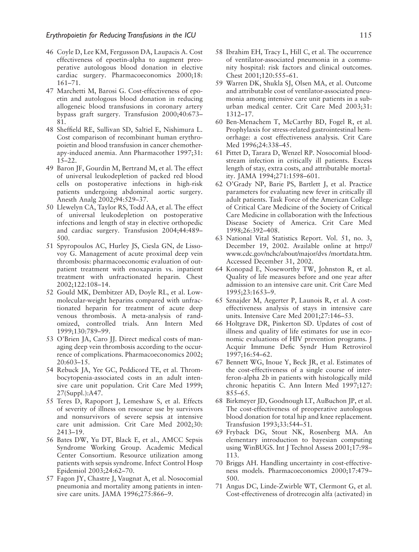- 46 Coyle D, Lee KM, Fergusson DA, Laupacis A. Cost effectiveness of epoetin-alpha to augment preoperative autologous blood donation in elective cardiac surgery. Pharmacoeconomics 2000;18: 161–71.
- 47 Marchetti M, Barosi G. Cost-effectiveness of epoetin and autologous blood donation in reducing allogeneic blood transfusions in coronary artery bypass graft surgery. Transfusion 2000;40:673– 81.
- 48 Sheffield RE, Sullivan SD, Saltiel E, Nishimura L. Cost comparison of recombinant human erythropoietin and blood transfusion in cancer chemotherapy-induced anemia. Ann Pharmacother 1997;31: 15–22.
- 49 Baron JF, Gourdin M, Bertrand M, et al. The effect of universal leukodepletion of packed red blood cells on postoperative infections in high-risk patients undergoing abdominal aortic surgery. Anesth Analg 2002;94:529–37.
- 50 Llewelyn CA, Taylor RS, Todd AA, et al. The effect of universal leukodepletion on postoperative infections and length of stay in elective orthopedic and cardiac surgery. Transfusion 2004;44:489– 500.
- 51 Spyropoulos AC, Hurley JS, Ciesla GN, de Lissovoy G. Management of acute proximal deep vein thrombosis: pharmacoeconomic evaluation of outpatient treatment with enoxaparin vs. inpatient treatment with unfractionated heparin. Chest 2002;122:108–14.
- 52 Gould MK, Dembitzer AD, Doyle RL, et al. Lowmolecular-weight heparins compared with unfractionated heparin for treatment of acute deep venous thrombosis. A meta-analysis of randomized, controlled trials. Ann Intern Med 1999;130:789–99.
- 53 O'Brien JA, Caro JJ. Direct medical costs of managing deep vein thrombosis according to the occurrence of complications. Pharmacoeconomics 2002; 20:603–15.
- 54 Rebuck JA, Yee GC, Peddicord TE, et al. Thrombocytopenia-associated costs in an adult intensive care unit population. Crit Care Med 1999; 27(Suppl.):A47.
- 55 Teres D, Rapoport J, Lemeshaw S, et al. Effects of severity of illness on resource use by survivors and nonsurvivors of severe sepsis at intensive care unit admission. Crit Care Med 2002;30: 2413–19.
- 56 Bates DW, Yu DT, Black E, et al., AMCC Sepsis Syndrome Working Group. Academic Medical Center Consortium. Resource utilization among patients with sepsis syndrome. Infect Control Hosp Epidemiol 2003;24:62–70.
- 57 Fagon JY, Chastre J, Vaugnat A, et al. Nosocomial pneumonia and mortality among patients in intensive care units. JAMA 1996;275:866–9.
- 58 Ibrahim EH, Tracy L, Hill C, et al. The occurrence of ventilator-associated pneumonia in a community hospital: risk factors and clinical outcomes. Chest 2001;120:555–61.
- 59 Warren DK, Shukla SJ, Olsen MA, et al. Outcome and attributable cost of ventilator-associated pneumonia among intensive care unit patients in a suburban medical center. Crit Care Med 2003;31: 1312–17.
- 60 Ben-Menachem T, McCarthy BD, Fogel R, et al. Prophylaxis for stress-related gastrointestinal hemorrhage: a cost effectiveness analysis. Crit Care Med 1996;24:338–45.
- 61 Pittet D, Tarara D, Wenzel RP. Nosocomial bloodstream infection in critically ill patients. Excess length of stay, extra costs, and attributable mortality. JAMA 1994;271:1598–601.
- 62 O'Grady NP, Barie PS, Bartlett J, et al. Practice parameters for evaluating new fever in critically ill adult patients. Task Force of the American College of Critical Care Medicine of the Society of Critical Care Medicine in collaboration with the Infectious Disease Society of America. Crit Care Med 1998;26:392–408.
- 63 National Vital Statistics Report. Vol. 51, no. 3, December 19, 2002. Available online at http:// www.cdc.gov/nchc/about/major/dvs /mortdata.htm. Accessed December 31, 2002.
- 64 Konopad E, Noseworthy TW, Johnston R, et al. Quality of life measures before and one year after admission to an intensive care unit. Crit Care Med 1995;23:1653–9.
- 65 Sznajder M, Aegerter P, Launois R, et al. A costeffectiveness analysis of stays in intensive care units. Intensive Care Med 2001;27:146–53.
- 66 Holtgrave DR, Pinkerton SD. Updates of cost of illness and quality of life estimates for use in economic evaluations of HIV prevention programs. J Acquir Immune Defic Syndr Hum Retrovirol 1997;16:54–62.
- 67 Bennett WG, Inoue Y, Beck JR, et al. Estimates of the cost-effectiveness of a single course of interferon-alpha 2b in patients with histologically mild chronic hepatitis C. Ann Intern Med 1997;127: 855–65.
- 68 Birkmeyer JD, Goodnough LT, AuBuchon JP, et al. The cost-effectiveness of preoperative autologous blood donation for total hip and knee replacement. Transfusion 1993;33:544–51.
- 69 Fryback DG, Stout NK, Rosenberg MA. An elementary introduction to bayesian computing using WinBUGS. Int J Technol Assess 2001;17:98– 113.
- 70 Briggs AH. Handling uncertainty in cost-effectiveness models. Pharmacoeconomics 2000;17:479– 500.
- 71 Angus DC, Linde-Zwirble WT, Clermont G, et al. Cost-effectiveness of drotrecogin alfa (activated) in